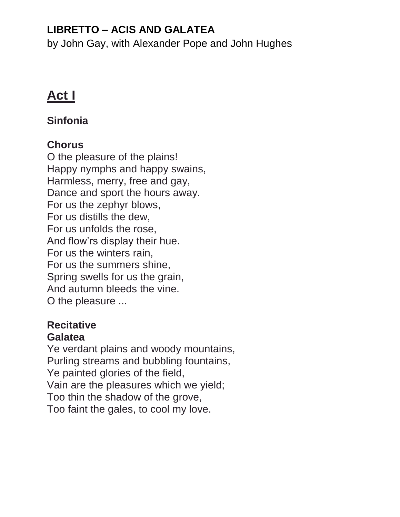# **LIBRETTO – ACIS AND GALATEA**

by John Gay, with Alexander Pope and John Hughes

# **Act I**

# **Sinfonia**

# **Chorus**

O the pleasure of the plains! Happy nymphs and happy swains, Harmless, merry, free and gay, Dance and sport the hours away. For us the zephyr blows, For us distills the dew, For us unfolds the rose, And flow'rs display their hue. For us the winters rain, For us the summers shine, Spring swells for us the grain, And autumn bleeds the vine. O the pleasure ...

### **Recitative Galatea**

Ye verdant plains and woody mountains, Purling streams and bubbling fountains, Ye painted glories of the field, Vain are the pleasures which we yield; Too thin the shadow of the grove, Too faint the gales, to cool my love.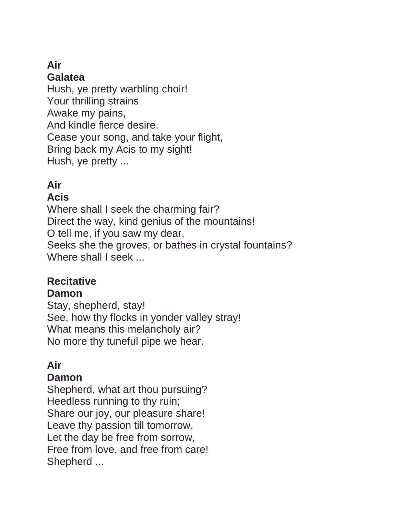#### **Air Galatea**

Hush, ye pretty warbling choir! Your thrilling strains Awake my pains, And kindle fierce desire. Cease your song, and take your flight, Bring back my Acis to my sight! Hush, ye pretty ...

# **Air**

### **Acis**

Where shall I seek the charming fair? Direct the way, kind genius of the mountains! O tell me, if you saw my dear, Seeks she the groves, or bathes in crystal fountains? Where shall I seek ...

#### **Recitative Damon**

Stay, shepherd, stay! See, how thy flocks in yonder valley stray! What means this melancholy air? No more thy tuneful pipe we hear.

# **Air**

### **Damon**

Shepherd, what art thou pursuing? Heedless running to thy ruin; Share our joy, our pleasure share! Leave thy passion till tomorrow, Let the day be free from sorrow, Free from love, and free from care! Shepherd ...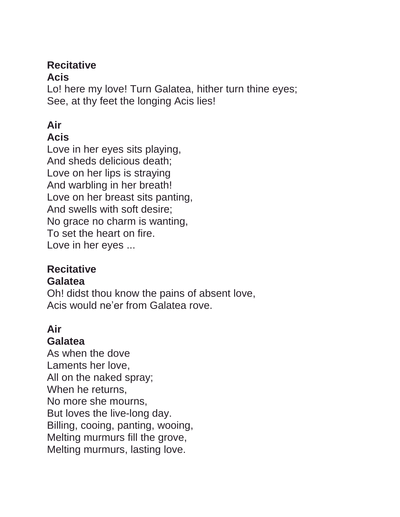### **Recitative**

### **Acis**

Lo! here my love! Turn Galatea, hither turn thine eyes; See, at thy feet the longing Acis lies!

# **Air**

### **Acis**

Love in her eyes sits playing, And sheds delicious death; Love on her lips is straying And warbling in her breath! Love on her breast sits panting, And swells with soft desire; No grace no charm is wanting, To set the heart on fire. Love in her eyes ...

# **Recitative**

#### **Galatea**

Oh! didst thou know the pains of absent love, Acis would ne'er from Galatea rove.

# **Air**

### **Galatea**

As when the dove Laments her love, All on the naked spray; When he returns, No more she mourns, But loves the live-long day. Billing, cooing, panting, wooing, Melting murmurs fill the grove, Melting murmurs, lasting love.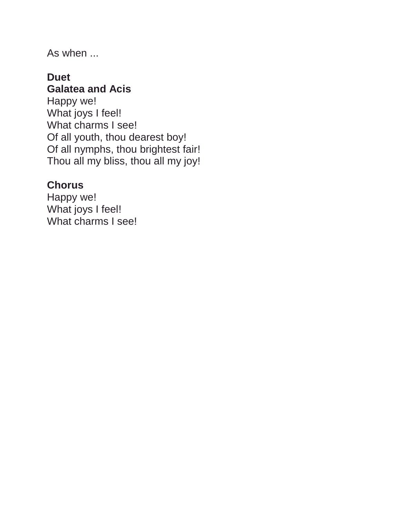As when ...

### **Duet Galatea and Acis**

Happy we! What joys I feel! What charms I see! Of all youth, thou dearest boy! Of all nymphs, thou brightest fair! Thou all my bliss, thou all my joy!

### **Chorus**

Happy we! What joys I feel! What charms I see!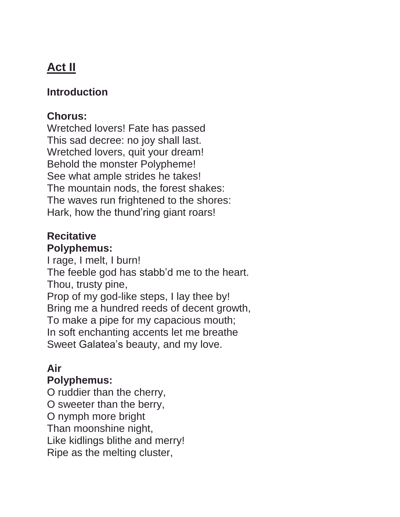# **Act II**

### **Introduction**

### **Chorus:**

Wretched lovers! Fate has passed This sad decree: no joy shall last. Wretched lovers, quit your dream! Behold the monster Polypheme! See what ample strides he takes! The mountain nods, the forest shakes: The waves run frightened to the shores: Hark, how the thund'ring giant roars!

### **Recitative Polyphemus:**

I rage, I melt, I burn! The feeble god has stabb'd me to the heart. Thou, trusty pine, Prop of my god-like steps, I lay thee by!

Bring me a hundred reeds of decent growth, To make a pipe for my capacious mouth; In soft enchanting accents let me breathe Sweet Galatea's beauty, and my love.

#### **Air Polyphemus:**

O ruddier than the cherry, O sweeter than the berry, O nymph more bright Than moonshine night, Like kidlings blithe and merry! Ripe as the melting cluster,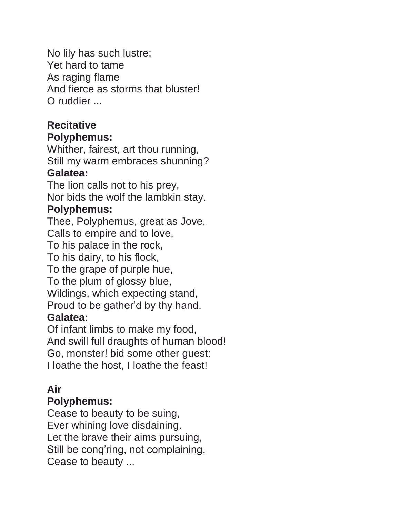No lily has such lustre; Yet hard to tame As raging flame And fierce as storms that bluster! O ruddier ...

### **Recitative Polyphemus:**

Whither, fairest, art thou running, Still my warm embraces shunning? **Galatea:**

The lion calls not to his prey, Nor bids the wolf the lambkin stay.

# **Polyphemus:**

Thee, Polyphemus, great as Jove, Calls to empire and to love, To his palace in the rock,

To his dairy, to his flock,

To the grape of purple hue,

To the plum of glossy blue,

Wildings, which expecting stand,

Proud to be gather'd by thy hand.

# **Galatea:**

Of infant limbs to make my food, And swill full draughts of human blood! Go, monster! bid some other guest: I loathe the host, I loathe the feast!

# **Air**

### **Polyphemus:**

Cease to beauty to be suing, Ever whining love disdaining. Let the brave their aims pursuing, Still be conq'ring, not complaining. Cease to beauty ...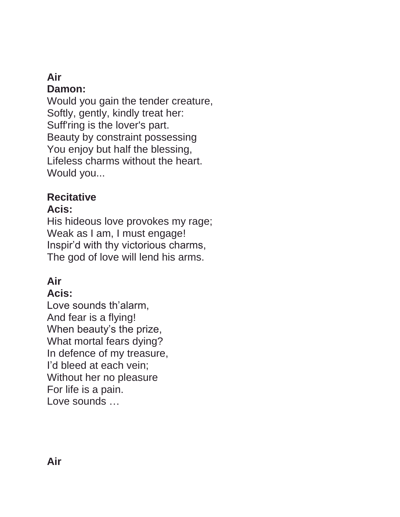#### **Air Damon:**

Would you gain the tender creature, Softly, gently, kindly treat her: Suff'ring is the lover's part. Beauty by constraint possessing You enjoy but half the blessing, Lifeless charms without the heart. Would you...

# **Recitative**

### **Acis:**

His hideous love provokes my rage; Weak as I am, I must engage! Inspir'd with thy victorious charms, The god of love will lend his arms.

# **Air**

# **Acis:**

Love sounds th'alarm, And fear is a flying! When beauty's the prize, What mortal fears dying? In defence of my treasure, I'd bleed at each vein; Without her no pleasure For life is a pain. Love sounds …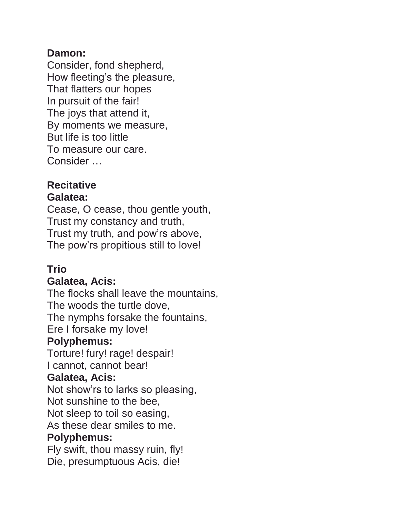### **Damon:**

Consider, fond shepherd, How fleeting's the pleasure, That flatters our hopes In pursuit of the fair! The joys that attend it, By moments we measure, But life is too little To measure our care. Consider …

### **Recitative Galatea:**

Cease, O cease, thou gentle youth, Trust my constancy and truth, Trust my truth, and pow'rs above, The pow'rs propitious still to love!

# **Trio**

### **Galatea, Acis:**

The flocks shall leave the mountains, The woods the turtle dove, The nymphs forsake the fountains, Ere I forsake my love!

### **Polyphemus:**

Torture! fury! rage! despair! I cannot, cannot bear!

### **Galatea, Acis:**

Not show'rs to larks so pleasing, Not sunshine to the bee,

Not sleep to toil so easing,

As these dear smiles to me.

### **Polyphemus:**

Fly swift, thou massy ruin, fly! Die, presumptuous Acis, die!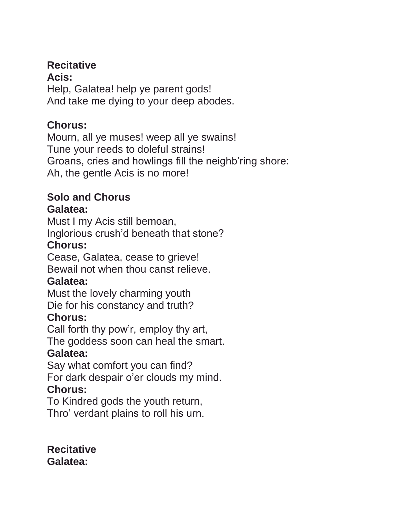### **Recitative**

**Acis:** Help, Galatea! help ye parent gods! And take me dying to your deep abodes.

# **Chorus:**

Mourn, all ye muses! weep all ye swains! Tune your reeds to doleful strains! Groans, cries and howlings fill the neighb'ring shore: Ah, the gentle Acis is no more!

# **Solo and Chorus**

### **Galatea:**

Must I my Acis still bemoan, Inglorious crush'd beneath that stone?

# **Chorus:**

Cease, Galatea, cease to grieve! Bewail not when thou canst relieve.

# **Galatea:**

Must the lovely charming youth Die for his constancy and truth?

# **Chorus:**

Call forth thy pow'r, employ thy art, The goddess soon can heal the smart.

# **Galatea:**

Say what comfort you can find? For dark despair o'er clouds my mind.

# **Chorus:**

To Kindred gods the youth return, Thro' verdant plains to roll his urn.

**Recitative Galatea:**